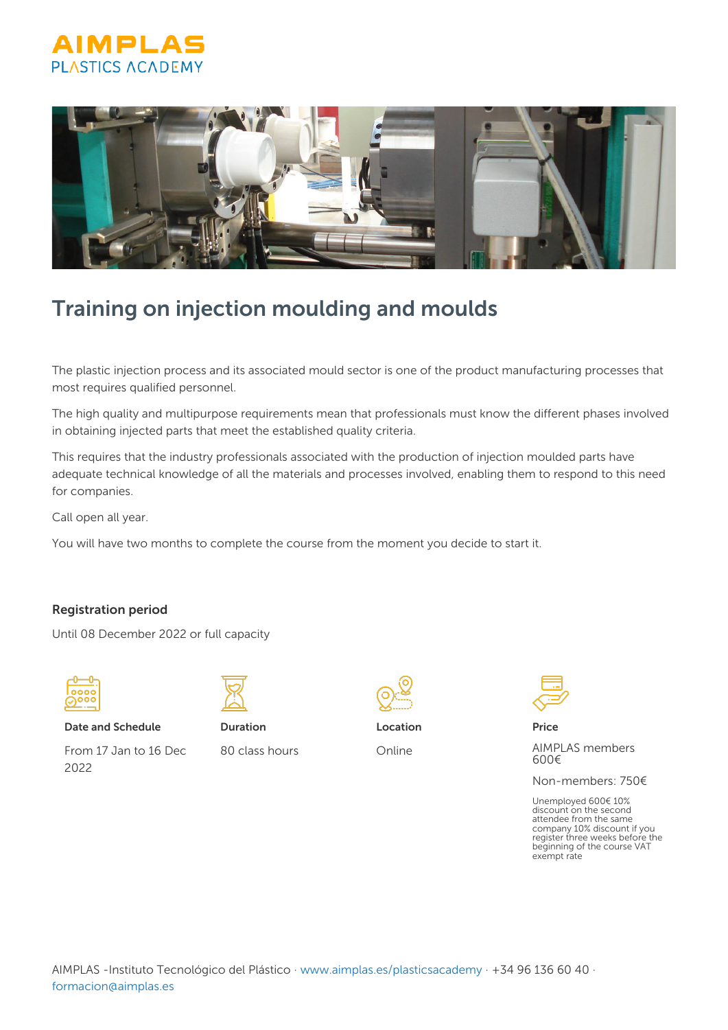



# Training on injection moulding and moulds

The plastic injection process and its associated mould sector is one of the product manufacturing processes that most requires qualified personnel.

The high quality and multipurpose requirements mean that professionals must know the different phases involved in obtaining injected parts that meet the established quality criteria.

This requires that the industry professionals associated with the production of injection moulded parts have adequate technical knowledge of all the materials and processes involved, enabling them to respond to this need for companies.

Call open all year.

You will have two months to complete the course from the moment you decide to start it.

### Registration period

Until 08 December 2022 or full capacity



Date and Schedule

From 17 Jan to 16 Dec 2022



Duration 80 class hours



Online



Price

AIMPLAS members 600€

Non-members: 750€

Unemployed 600€ 10% discount on the second attendee from the same company 10% discount if you register three weeks before the beginning of the course VAT exempt rate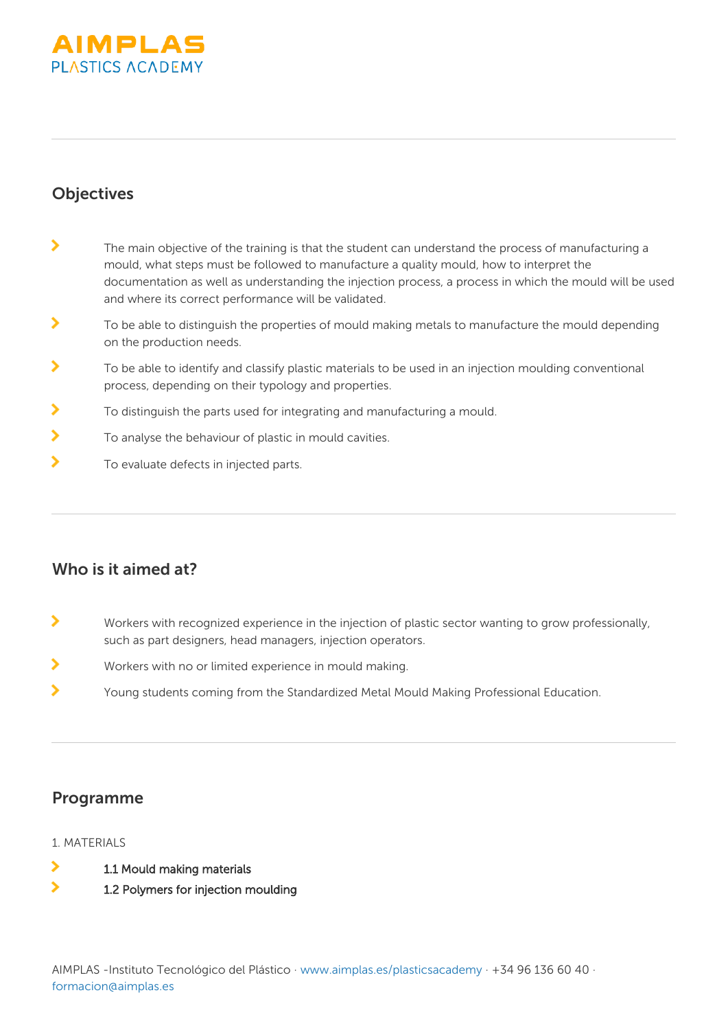

## **Objectives**

- $\mathbf{\lambda}$ The main objective of the training is that the student can understand the process of manufacturing a mould, what steps must be followed to manufacture a quality mould, how to interpret the documentation as well as understanding the injection process, a process in which the mould will be used and where its correct performance will be validated.
- $\mathbf{\lambda}$ To be able to distinguish the properties of mould making metals to manufacture the mould depending on the production needs.
- ⋟ To be able to identify and classify plastic materials to be used in an injection moulding conventional process, depending on their typology and properties.
- $\blacktriangleright$ To distinguish the parts used for integrating and manufacturing a mould.
- ь To analyse the behaviour of plastic in mould cavities.
- $\mathbf{\Sigma}$ To evaluate defects in injected parts.

## Who is it aimed at?

- $\mathbf{\Sigma}$ Workers with recognized experience in the injection of plastic sector wanting to grow professionally, such as part designers, head managers, injection operators.
- $\overline{\phantom{1}}$ Workers with no or limited experience in mould making.
- $\overline{\phantom{0}}$ Young students coming from the Standardized Metal Mould Making Professional Education.

## Programme

### 1 MATERIALS

- ٧ 1.1 Mould making materials
- $\overline{\phantom{0}}$ 1.2 Polymers for injection moulding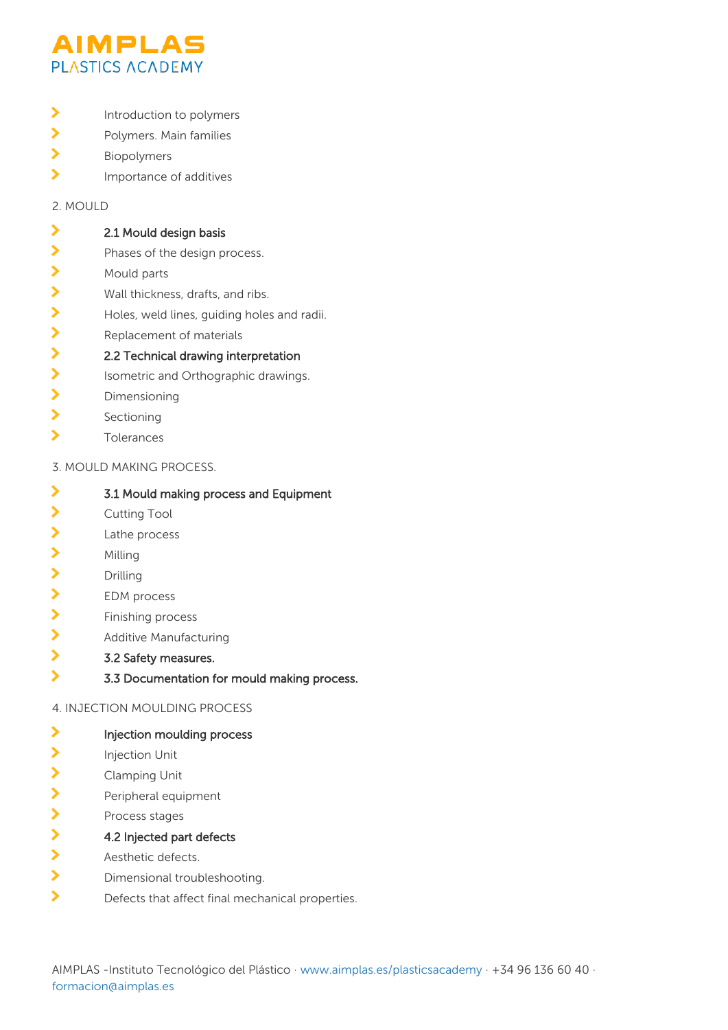

- $\mathbf{\Sigma}$ Introduction to polymers
- $\mathbf{\Sigma}$ Polymers. Main families
- $\mathbf{\Sigma}$ Biopolymers
- $\mathbf{\Sigma}$ Importance of additives

2. MOULD

#### ゝ 2.1 Mould design basis

- $\overline{\phantom{0}}$ Phases of the design process.
- ⋗ Mould parts
- $\mathbf{\Sigma}$ Wall thickness, drafts, and ribs.
- $\mathbf{\Sigma}$ Holes, weld lines, guiding holes and radii.
- $\overline{\phantom{1}}$ Replacement of materials

#### $\mathbf{\Sigma}$ 2.2 Technical drawing interpretation

- $\mathbf{\Sigma}$ Isometric and Orthographic drawings.
- $\overline{\phantom{1}}$ Dimensioning
- $\mathbf{\Sigma}$ Sectioning
- $\overline{\phantom{1}}$ Tolerances

### 3. MOULD MAKING PROCESS.

- $\overline{\phantom{1}}$ 3.1 Mould making process and Equipment
- ⋗ Cutting Tool
- $\mathbf{\Sigma}$ Lathe process
- $\mathbf{\lambda}$ Milling
- У Drilling
- $\mathbf{\Sigma}$ EDM process
- $\overline{\phantom{0}}$ Finishing process
- $\mathbf{\Sigma}$ Additive Manufacturing
- $\overline{\phantom{0}}$ 3.2 Safety measures.
- $\mathbf{\Sigma}$ 3.3 Documentation for mould making process.

### 4. INJECTION MOULDING PROCESS

- $\overline{\phantom{0}}$ Injection moulding process
- ⋟ Injection Unit
- $\mathbf{\Sigma}$ Clamping Unit
- $\rightarrow$ Peripheral equipment
- $\mathbf{\Sigma}$ Process stages
- $\overline{\phantom{0}}$ 4.2 Injected part defects
- $\overline{\phantom{1}}$ Aesthetic defects.
- $\mathbf{\lambda}$ Dimensional troubleshooting.
- $\overline{\phantom{0}}$ Defects that affect final mechanical properties.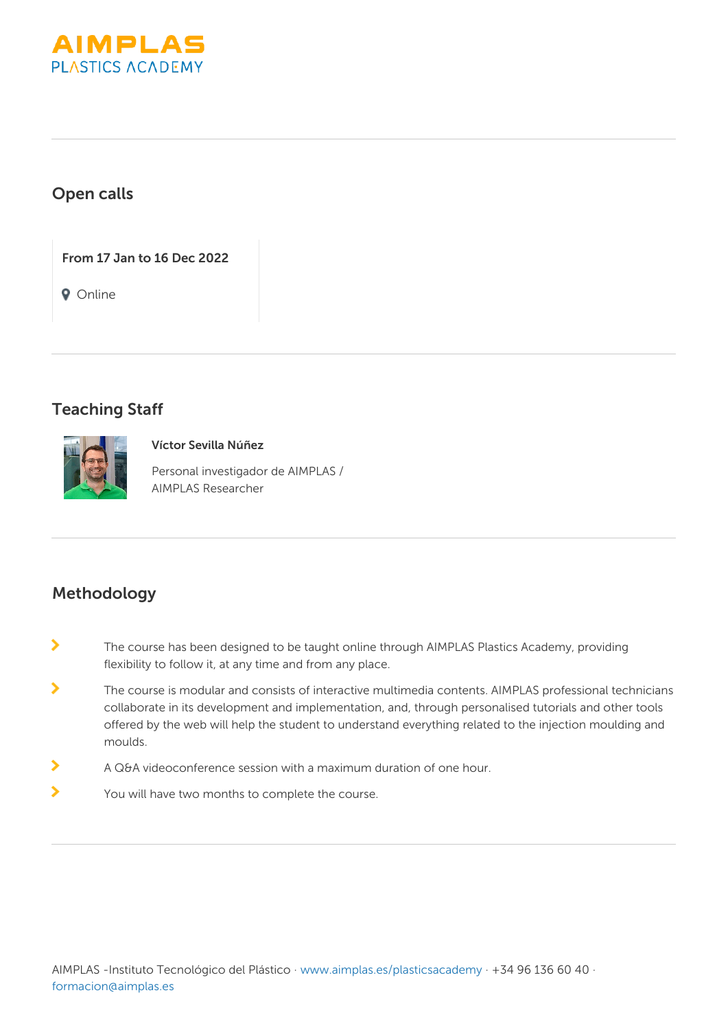

## Open calls

From 17 Jan to 16 Dec 2022

**Q** Online

## Teaching Staff



### Víctor Sevilla Núñez

Personal investigador de AIMPLAS / AIMPLAS Researcher

## Methodology

- $\mathbf{\Sigma}$ The course has been designed to be taught online through AIMPLAS Plastics Academy, providing flexibility to follow it, at any time and from any place.
- $\overline{\phantom{0}}$ The course is modular and consists of interactive multimedia contents. AIMPLAS professional technicians collaborate in its development and implementation, and, through personalised tutorials and other tools offered by the web will help the student to understand everything related to the injection moulding and moulds.
- ⋗ A Q&A videoconference session with a maximum duration of one hour.
- $\blacktriangleright$ You will have two months to complete the course.